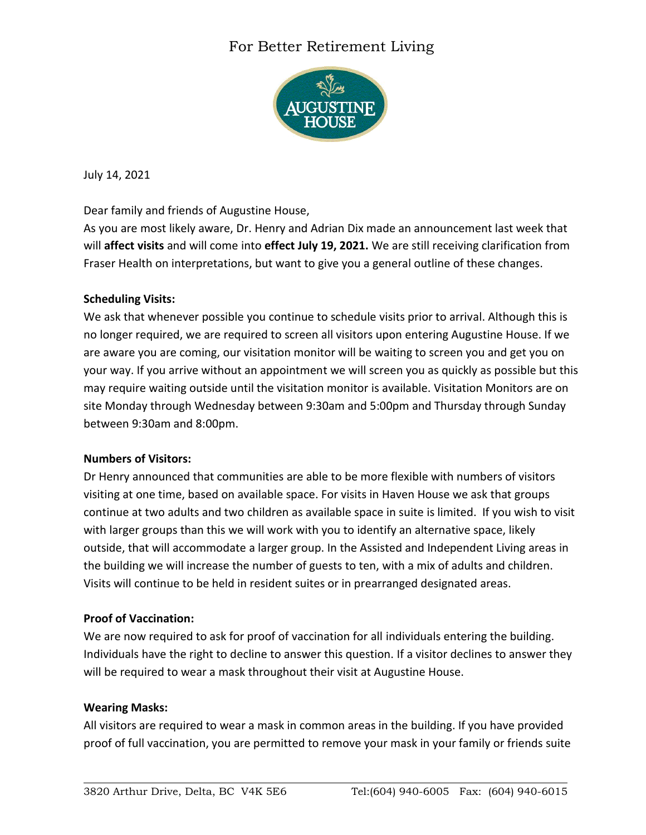## For Better Retirement Living



July 14, 2021

Dear family and friends of Augustine House,

As you are most likely aware, Dr. Henry and Adrian Dix made an announcement last week that will **affect visits** and will come into **effect July 19, 2021.** We are still receiving clarification from Fraser Health on interpretations, but want to give you a general outline of these changes.

### **Scheduling Visits:**

We ask that whenever possible you continue to schedule visits prior to arrival. Although this is no longer required, we are required to screen all visitors upon entering Augustine House. If we are aware you are coming, our visitation monitor will be waiting to screen you and get you on your way. If you arrive without an appointment we will screen you as quickly as possible but this may require waiting outside until the visitation monitor is available. Visitation Monitors are on site Monday through Wednesday between 9:30am and 5:00pm and Thursday through Sunday between 9:30am and 8:00pm.

### **Numbers of Visitors:**

Dr Henry announced that communities are able to be more flexible with numbers of visitors visiting at one time, based on available space. For visits in Haven House we ask that groups continue at two adults and two children as available space in suite is limited. If you wish to visit with larger groups than this we will work with you to identify an alternative space, likely outside, that will accommodate a larger group. In the Assisted and Independent Living areas in the building we will increase the number of guests to ten, with a mix of adults and children. Visits will continue to be held in resident suites or in prearranged designated areas.

### **Proof of Vaccination:**

We are now required to ask for proof of vaccination for all individuals entering the building. Individuals have the right to decline to answer this question. If a visitor declines to answer they will be required to wear a mask throughout their visit at Augustine House.

### **Wearing Masks:**

All visitors are required to wear a mask in common areas in the building. If you have provided proof of full vaccination, you are permitted to remove your mask in your family or friends suite